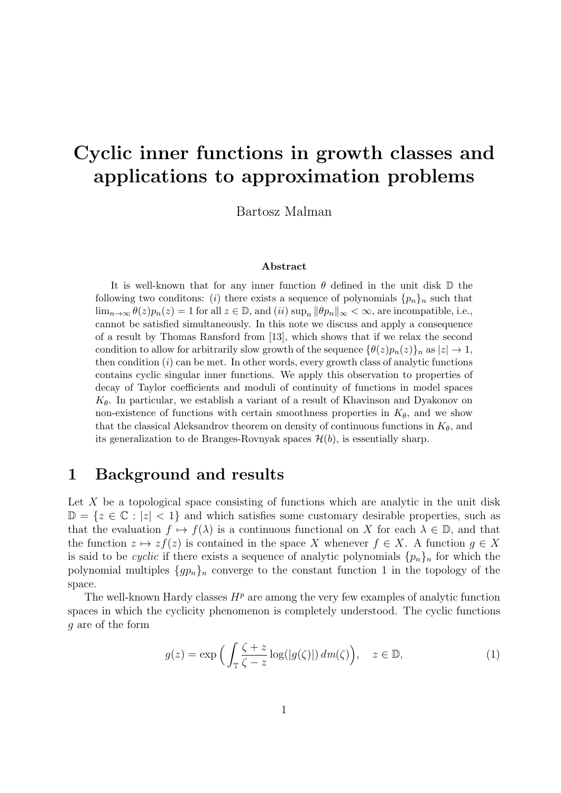# Cyclic inner functions in growth classes and applications to approximation problems

Bartosz Malman

#### Abstract

It is well-known that for any inner function  $\theta$  defined in the unit disk  $\mathbb D$  the following two conditions: (i) there exists a sequence of polynomials  $\{p_n\}_n$  such that  $\lim_{n\to\infty}\theta(z)p_n(z)=1$  for all  $z\in\mathbb{D}$ , and  $(ii)$  sup<sub>n</sub>  $\|\theta p_n\|_{\infty}<\infty$ , are incompatible, i.e., cannot be satisfied simultaneously. In this note we discuss and apply a consequence of a result by Thomas Ransford from [13], which shows that if we relax the second condition to allow for arbitrarily slow growth of the sequence  $\{\theta(z)p_n(z)\}_n$  as  $|z| \to 1$ , then condition  $(i)$  can be met. In other words, every growth class of analytic functions contains cyclic singular inner functions. We apply this observation to properties of decay of Taylor coefficients and moduli of continuity of functions in model spaces  $K_{\theta}$ . In particular, we establish a variant of a result of Khavinson and Dyakonov on non-existence of functions with certain smoothness properties in  $K_{\theta}$ , and we show that the classical Aleksandrov theorem on density of continuous functions in  $K_{\theta}$ , and its generalization to de Branges-Rovnyak spaces  $\mathcal{H}(b)$ , is essentially sharp.

#### 1 Background and results

Let  $X$  be a topological space consisting of functions which are analytic in the unit disk  $\mathbb{D} = \{z \in \mathbb{C} : |z| < 1\}$  and which satisfies some customary desirable properties, such as that the evaluation  $f \mapsto f(\lambda)$  is a continuous functional on X for each  $\lambda \in \mathbb{D}$ , and that the function  $z \mapsto z f(z)$  is contained in the space X whenever  $f \in X$ . A function  $g \in X$ is said to be *cyclic* if there exists a sequence of analytic polynomials  $\{p_n\}_n$  for which the polynomial multiples  $\{gp_n\}_n$  converge to the constant function 1 in the topology of the space.

The well-known Hardy classes  $H<sup>p</sup>$  are among the very few examples of analytic function spaces in which the cyclicity phenomenon is completely understood. The cyclic functions g are of the form

$$
g(z) = \exp\Big(\int_{\mathbb{T}} \frac{\zeta + z}{\zeta - z} \log(|g(\zeta)|) \, dm(\zeta)\Big), \quad z \in \mathbb{D},\tag{1}
$$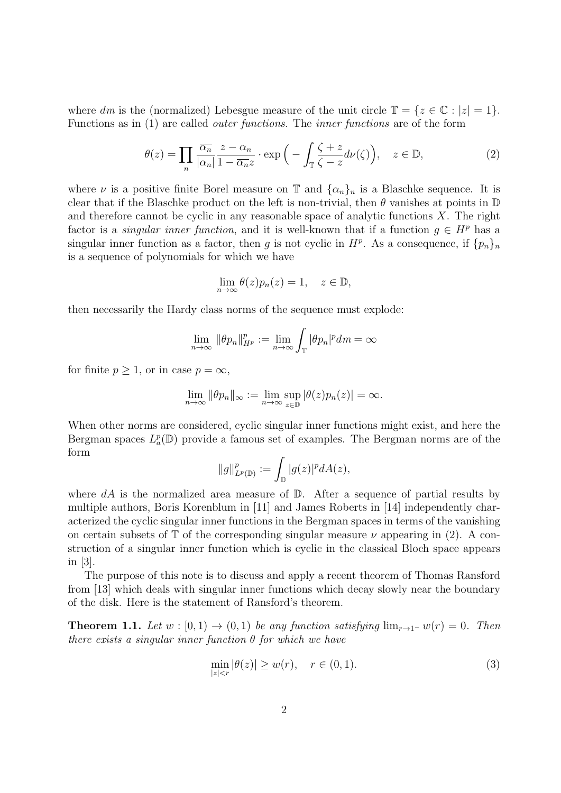where dm is the (normalized) Lebesgue measure of the unit circle  $\mathbb{T} = \{z \in \mathbb{C} : |z| = 1\}.$ Functions as in (1) are called outer functions. The inner functions are of the form

$$
\theta(z) = \prod_{n} \frac{\overline{\alpha_n}}{|\alpha_n|} \frac{z - \alpha_n}{1 - \overline{\alpha_n} z} \cdot \exp\left(-\int_{\mathbb{T}} \frac{\zeta + z}{\zeta - z} d\nu(\zeta)\right), \quad z \in \mathbb{D},\tag{2}
$$

where  $\nu$  is a positive finite Borel measure on T and  $\{\alpha_n\}_n$  is a Blaschke sequence. It is clear that if the Blaschke product on the left is non-trivial, then  $\theta$  vanishes at points in  $\mathbb D$ and therefore cannot be cyclic in any reasonable space of analytic functions  $X$ . The right factor is a *singular inner function*, and it is well-known that if a function  $g \in H^p$  has a singular inner function as a factor, then g is not cyclic in  $H^p$ . As a consequence, if  $\{p_n\}_n$ is a sequence of polynomials for which we have

$$
\lim_{n \to \infty} \theta(z) p_n(z) = 1, \quad z \in \mathbb{D},
$$

then necessarily the Hardy class norms of the sequence must explode:

$$
\lim_{n\to\infty} \|\theta p_n\|_{H^p}^p := \lim_{n\to\infty} \int_{\mathbb{T}} |\theta p_n|^p dm = \infty
$$

for finite  $p \geq 1$ , or in case  $p = \infty$ ,

$$
\lim_{n \to \infty} \|\theta p_n\|_{\infty} := \lim_{n \to \infty} \sup_{z \in \mathbb{D}} |\theta(z) p_n(z)| = \infty.
$$

When other norms are considered, cyclic singular inner functions might exist, and here the Bergman spaces  $L_a^p(\mathbb{D})$  provide a famous set of examples. The Bergman norms are of the form

$$
||g||_{L^p(\mathbb{D})}^p := \int_{\mathbb{D}} |g(z)|^p dA(z),
$$

where  $dA$  is the normalized area measure of  $\mathbb{D}$ . After a sequence of partial results by multiple authors, Boris Korenblum in [11] and James Roberts in [14] independently characterized the cyclic singular inner functions in the Bergman spaces in terms of the vanishing on certain subsets of  $\mathbb T$  of the corresponding singular measure  $\nu$  appearing in (2). A construction of a singular inner function which is cyclic in the classical Bloch space appears in [3].

The purpose of this note is to discuss and apply a recent theorem of Thomas Ransford from [13] which deals with singular inner functions which decay slowly near the boundary of the disk. Here is the statement of Ransford's theorem.

**Theorem 1.1.** Let  $w : [0, 1) \rightarrow (0, 1)$  be any function satisfying  $\lim_{r \to 1^-} w(r) = 0$ . Then there exists a singular inner function  $\theta$  for which we have

$$
\min_{|z| < r} |\theta(z)| \ge w(r), \quad r \in (0, 1). \tag{3}
$$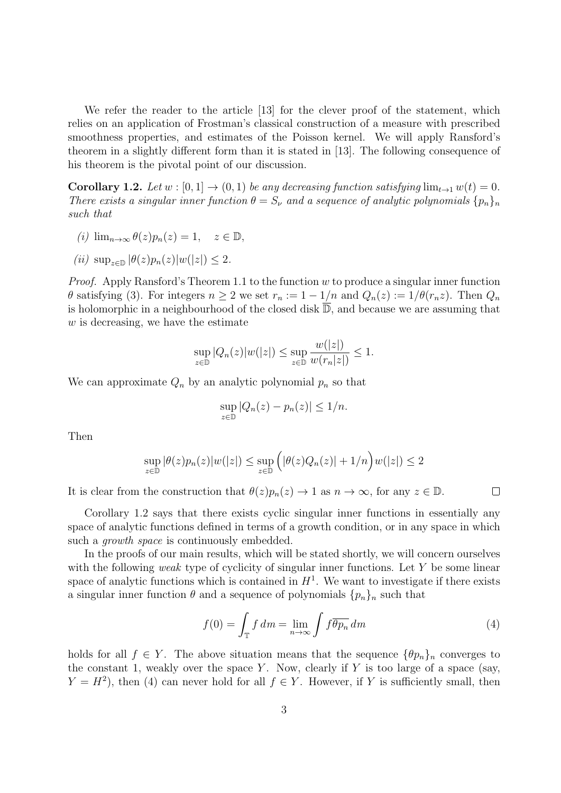We refer the reader to the article [13] for the clever proof of the statement, which relies on an application of Frostman's classical construction of a measure with prescribed smoothness properties, and estimates of the Poisson kernel. We will apply Ransford's theorem in a slightly different form than it is stated in [13]. The following consequence of his theorem is the pivotal point of our discussion.

**Corollary 1.2.** Let  $w : [0, 1] \rightarrow (0, 1)$  be any decreasing function satisfying  $\lim_{t \to 1} w(t) = 0$ . There exists a singular inner function  $\theta = S_{\nu}$  and a sequence of analytic polynomials  $\{p_n\}_n$ such that

- (i)  $\lim_{n\to\infty} \theta(z) p_n(z) = 1, \quad z \in \mathbb{D},$
- (ii)  $\sup_{z \in \mathbb{D}} |\theta(z)p_n(z)|w(|z|) \leq 2$ .

*Proof.* Apply Ransford's Theorem 1.1 to the function  $w$  to produce a singular inner function  $\theta$  satisfying (3). For integers  $n \geq 2$  we set  $r_n := 1 - 1/n$  and  $Q_n(z) := 1/\theta(r_n z)$ . Then  $Q_n$ is holomorphic in a neighbourhood of the closed disk  $\overline{\mathbb{D}}$ , and because we are assuming that  $w$  is decreasing, we have the estimate

$$
\sup_{z \in \mathbb{D}} |Q_n(z)|w(|z|) \le \sup_{z \in \mathbb{D}} \frac{w(|z|)}{w(r_n|z|)} \le 1.
$$

 $x_1$ <sup>2</sup> ax

We can approximate  $Q_n$  by an analytic polynomial  $p_n$  so that

$$
\sup_{z \in \mathbb{D}} |Q_n(z) - p_n(z)| \le 1/n.
$$

Then

$$
\sup_{z \in \mathbb{D}} |\theta(z)p_n(z)|w(|z|) \le \sup_{z \in \mathbb{D}} \left(|\theta(z)Q_n(z)| + 1/n\right)w(|z|) \le 2
$$

It is clear from the construction that  $\theta(z)p_n(z) \to 1$  as  $n \to \infty$ , for any  $z \in \mathbb{D}$ .

Corollary 1.2 says that there exists cyclic singular inner functions in essentially any space of analytic functions defined in terms of a growth condition, or in any space in which such a *growth space* is continuously embedded.

In the proofs of our main results, which will be stated shortly, we will concern ourselves with the following *weak* type of cyclicity of singular inner functions. Let  $Y$  be some linear space of analytic functions which is contained in  $H<sup>1</sup>$ . We want to investigate if there exists a singular inner function  $\theta$  and a sequence of polynomials  $\{p_n\}_n$  such that

$$
f(0) = \int_{\mathbb{T}} f \, dm = \lim_{n \to \infty} \int f \overline{\theta p_n} \, dm \tag{4}
$$

 $\Box$ 

holds for all  $f \in Y$ . The above situation means that the sequence  $\{\theta p_n\}_n$  converges to the constant 1, weakly over the space Y. Now, clearly if Y is too large of a space (say,  $Y = H<sup>2</sup>$ ), then (4) can never hold for all  $f \in Y$ . However, if Y is sufficiently small, then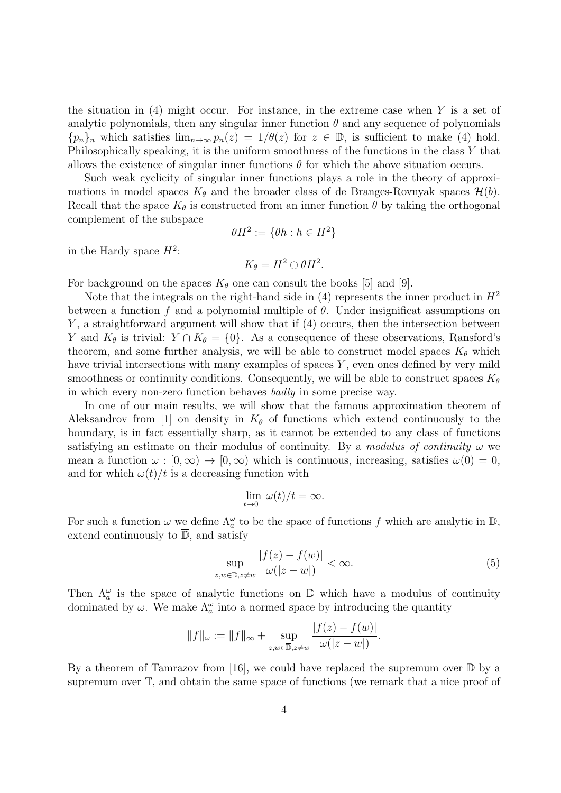the situation in  $(4)$  might occur. For instance, in the extreme case when Y is a set of analytic polynomials, then any singular inner function  $\theta$  and any sequence of polynomials  ${p_n}_n$  which satisfies  $\lim_{n\to\infty} p_n(z) = 1/\theta(z)$  for  $z \in \mathbb{D}$ , is sufficient to make (4) hold. Philosophically speaking, it is the uniform smoothness of the functions in the class Y that allows the existence of singular inner functions  $\theta$  for which the above situation occurs.

Such weak cyclicity of singular inner functions plays a role in the theory of approximations in model spaces  $K_{\theta}$  and the broader class of de Branges-Rovnyak spaces  $\mathcal{H}(b)$ . Recall that the space  $K_{\theta}$  is constructed from an inner function  $\theta$  by taking the orthogonal complement of the subspace

$$
\theta H^2 := \{ \theta h : h \in H^2 \}
$$

in the Hardy space  $H^2$ :

$$
K_{\theta}=H^2\ominus \theta H^2.
$$

For background on the spaces  $K_{\theta}$  one can consult the books [5] and [9].

Note that the integrals on the right-hand side in  $(4)$  represents the inner product in  $H^2$ between a function f and a polynomial multiple of  $\theta$ . Under insignificat assumptions on  $Y$ , a straightforward argument will show that if  $(4)$  occurs, then the intersection between Y and  $K_{\theta}$  is trivial:  $Y \cap K_{\theta} = \{0\}$ . As a consequence of these observations, Ransford's theorem, and some further analysis, we will be able to construct model spaces  $K_{\theta}$  which have trivial intersections with many examples of spaces Y, even ones defined by very mild smoothness or continuity conditions. Consequently, we will be able to construct spaces  $K_{\theta}$ in which every non-zero function behaves badly in some precise way.

In one of our main results, we will show that the famous approximation theorem of Aleksandrov from [1] on density in  $K_{\theta}$  of functions which extend continuously to the boundary, is in fact essentially sharp, as it cannot be extended to any class of functions satisfying an estimate on their modulus of continuity. By a modulus of continuity  $\omega$  we mean a function  $\omega : [0, \infty) \to [0, \infty)$  which is continuous, increasing, satisfies  $\omega(0) = 0$ , and for which  $\omega(t)/t$  is a decreasing function with

$$
\lim_{t \to 0^+} \omega(t)/t = \infty.
$$

For such a function  $\omega$  we define  $\Lambda_a^{\omega}$  to be the space of functions f which are analytic in  $\mathbb{D}$ , extend continuously to  $\overline{\mathbb{D}}$ , and satisfy

$$
\sup_{z,w\in\overline{\mathbb{D}},z\neq w} \frac{|f(z)-f(w)|}{\omega(|z-w|)} < \infty. \tag{5}
$$

Then  $\Lambda_a^{\omega}$  is the space of analytic functions on  $\mathbb D$  which have a modulus of continuity dominated by  $\omega$ . We make  $\Lambda_a^{\omega}$  into a normed space by introducing the quantity

$$
||f||_{\omega} := ||f||_{\infty} + \sup_{z,w \in \overline{\mathbb{D}}, z \neq w} \frac{|f(z) - f(w)|}{\omega(|z - w|)}.
$$

By a theorem of Tamrazov from [16], we could have replaced the supremum over  $\overline{\mathbb{D}}$  by a supremum over T, and obtain the same space of functions (we remark that a nice proof of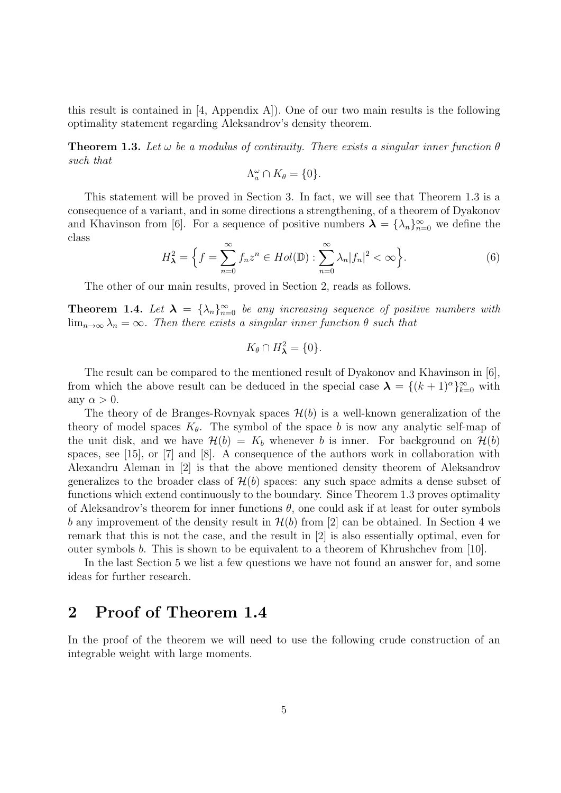this result is contained in [4, Appendix A]). One of our two main results is the following optimality statement regarding Aleksandrov's density theorem.

**Theorem 1.3.** Let  $\omega$  be a modulus of continuity. There exists a singular inner function  $\theta$ such that

$$
\Lambda_a^{\omega} \cap K_{\theta} = \{0\}.
$$

This statement will be proved in Section 3. In fact, we will see that Theorem 1.3 is a consequence of a variant, and in some directions a strengthening, of a theorem of Dyakonov and Khavinson from [6]. For a sequence of positive numbers  $\lambda = {\lambda_n}_{n=0}^{\infty}$  we define the class

$$
H_{\lambda}^{2} = \left\{ f = \sum_{n=0}^{\infty} f_n z^n \in Hol(\mathbb{D}) : \sum_{n=0}^{\infty} \lambda_n |f_n|^2 < \infty \right\}.
$$
\n<sup>(6)</sup>

The other of our main results, proved in Section 2, reads as follows.

**Theorem 1.4.** Let  $\lambda = {\lambda_n}_{n=0}^{\infty}$  be any increasing sequence of positive numbers with  $\lim_{n\to\infty}\lambda_n=\infty$ . Then there exists a singular inner function  $\theta$  such that

$$
K_{\theta}\cap H_{\lambda}^2=\{0\}.
$$

The result can be compared to the mentioned result of Dyakonov and Khavinson in [6], from which the above result can be deduced in the special case  $\lambda = \{(k+1)^{\alpha}\}_{k=0}^{\infty}$  with any  $\alpha > 0$ .

The theory of de Branges-Rovnyak spaces  $\mathcal{H}(b)$  is a well-known generalization of the theory of model spaces  $K_{\theta}$ . The symbol of the space b is now any analytic self-map of the unit disk, and we have  $\mathcal{H}(b) = K_b$  whenever b is inner. For background on  $\mathcal{H}(b)$ spaces, see [15], or [7] and [8]. A consequence of the authors work in collaboration with Alexandru Aleman in [2] is that the above mentioned density theorem of Aleksandrov generalizes to the broader class of  $\mathcal{H}(b)$  spaces: any such space admits a dense subset of functions which extend continuously to the boundary. Since Theorem 1.3 proves optimality of Aleksandrov's theorem for inner functions  $\theta$ , one could ask if at least for outer symbols b any improvement of the density result in  $\mathcal{H}(b)$  from [2] can be obtained. In Section 4 we remark that this is not the case, and the result in [2] is also essentially optimal, even for outer symbols b. This is shown to be equivalent to a theorem of Khrushchev from [10].

In the last Section 5 we list a few questions we have not found an answer for, and some ideas for further research.

#### 2 Proof of Theorem 1.4

In the proof of the theorem we will need to use the following crude construction of an integrable weight with large moments.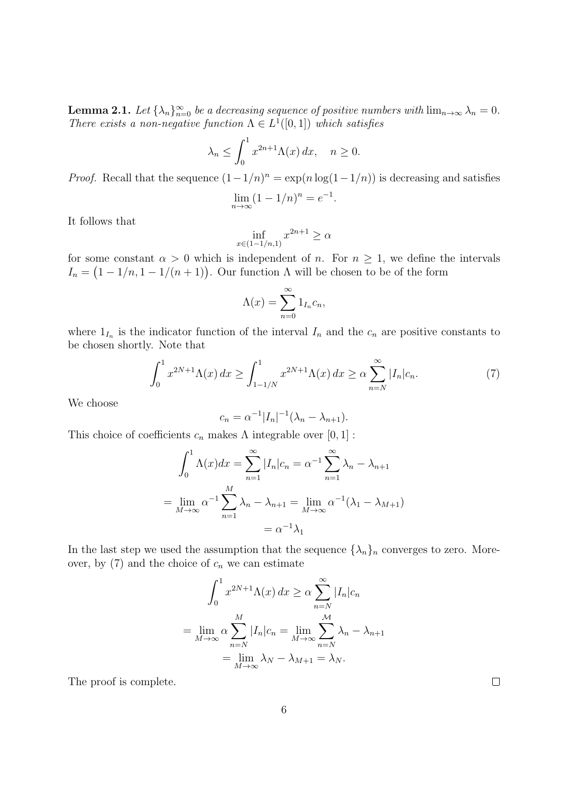**Lemma 2.1.** Let  $\{\lambda_n\}_{n=0}^{\infty}$  be a decreasing sequence of positive numbers with  $\lim_{n\to\infty}\lambda_n=0$ . There exists a non-negative function  $\Lambda \in L^1([0,1])$  which satisfies

$$
\lambda_n \le \int_0^1 x^{2n+1} \Lambda(x) \, dx, \quad n \ge 0.
$$

*Proof.* Recall that the sequence  $(1 - 1/n)^n = \exp(n \log(1 - 1/n))$  is decreasing and satisfies  $\lim_{n \to \infty} (1 - 1/n)^n = e^{-1}.$ 

It follows that

$$
\inf_{x \in (1-1/n,1)} x^{2n+1} \ge \alpha
$$

for some constant  $\alpha > 0$  which is independent of n. For  $n \geq 1$ , we define the intervals  $I_n = (1 - 1/n, 1 - 1/(n + 1))$ . Our function  $\Lambda$  will be chosen to be of the form

$$
\Lambda(x) = \sum_{n=0}^{\infty} 1_{I_n} c_n,
$$

where  $1_{I_n}$  is the indicator function of the interval  $I_n$  and the  $c_n$  are positive constants to be chosen shortly. Note that

$$
\int_0^1 x^{2N+1} \Lambda(x) \, dx \ge \int_{1-1/N}^1 x^{2N+1} \Lambda(x) \, dx \ge \alpha \sum_{n=N}^\infty |I_n| c_n. \tag{7}
$$

We choose

$$
c_n = \alpha^{-1} |I_n|^{-1} (\lambda_n - \lambda_{n+1}).
$$

This choice of coefficients  $c_n$  makes  $\Lambda$  integrable over  $[0, 1]$ :

$$
\int_0^1 \Lambda(x)dx = \sum_{n=1}^\infty |I_n|c_n = \alpha^{-1} \sum_{n=1}^\infty \lambda_n - \lambda_{n+1}
$$

$$
= \lim_{M \to \infty} \alpha^{-1} \sum_{n=1}^M \lambda_n - \lambda_{n+1} = \lim_{M \to \infty} \alpha^{-1} (\lambda_1 - \lambda_{M+1})
$$

$$
= \alpha^{-1} \lambda_1
$$

In the last step we used the assumption that the sequence  $\{\lambda_n\}_n$  converges to zero. Moreover, by  $(7)$  and the choice of  $c_n$  we can estimate

$$
\int_0^1 x^{2N+1} \Lambda(x) dx \ge \alpha \sum_{n=N}^{\infty} |I_n| c_n
$$
  
= 
$$
\lim_{M \to \infty} \alpha \sum_{n=N}^M |I_n| c_n = \lim_{M \to \infty} \sum_{n=N}^M \lambda_n - \lambda_{n+1}
$$
  
= 
$$
\lim_{M \to \infty} \lambda_N - \lambda_{M+1} = \lambda_N.
$$

The proof is complete.

 $\Box$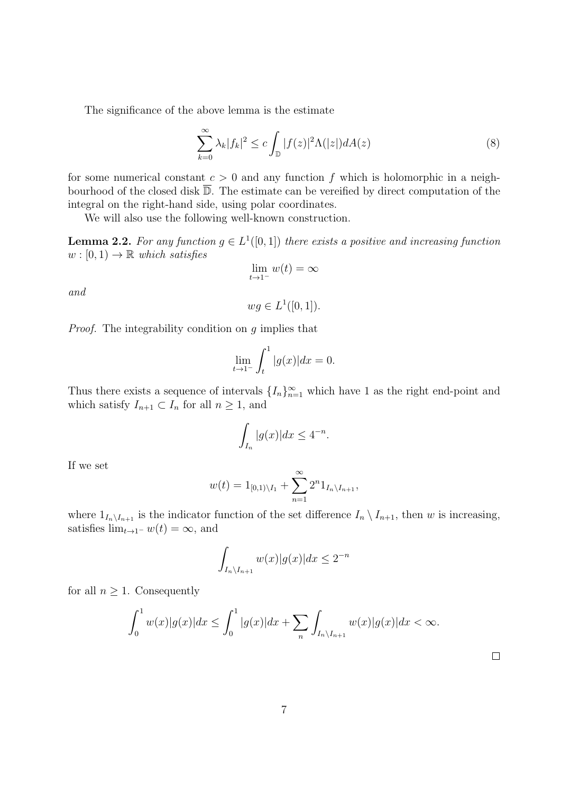The significance of the above lemma is the estimate

$$
\sum_{k=0}^{\infty} \lambda_k |f_k|^2 \le c \int_{\mathbb{D}} |f(z)|^2 \Lambda(|z|) dA(z)
$$
\n(8)

for some numerical constant  $c > 0$  and any function f which is holomorphic in a neighbourhood of the closed disk  $\overline{\mathbb{D}}$ . The estimate can be vereified by direct computation of the integral on the right-hand side, using polar coordinates.

We will also use the following well-known construction.

**Lemma 2.2.** For any function  $g \in L^1([0,1])$  there exists a positive and increasing function  $w : [0, 1) \rightarrow \mathbb{R}$  which satisfies

$$
\lim_{t \to 1^-} w(t) = \infty
$$

and

$$
wg \in L^1([0,1]).
$$

Proof. The integrability condition on g implies that

$$
\lim_{t \to 1^-} \int_t^1 |g(x)| dx = 0.
$$

Thus there exists a sequence of intervals  $\{I_n\}_{n=1}^{\infty}$  which have 1 as the right end-point and which satisfy  $I_{n+1} \subset I_n$  for all  $n \geq 1$ , and

$$
\int_{I_n} |g(x)| dx \le 4^{-n}.
$$

If we set

$$
w(t) = 1_{[0,1)\setminus I_1} + \sum_{n=1}^{\infty} 2^n 1_{I_n \setminus I_{n+1}},
$$

where  $1_{I_n\setminus I_{n+1}}$  is the indicator function of the set difference  $I_n \setminus I_{n+1}$ , then w is increasing, satisfies  $\lim_{t\to 1^-} w(t) = \infty$ , and

$$
\int_{I_n \setminus I_{n+1}} w(x)|g(x)| dx \le 2^{-n}
$$

for all  $n \geq 1$ . Consequently

$$
\int_0^1 w(x)|g(x)|dx \le \int_0^1 |g(x)|dx + \sum_n \int_{I_n \setminus I_{n+1}} w(x)|g(x)|dx < \infty.
$$

 $\Box$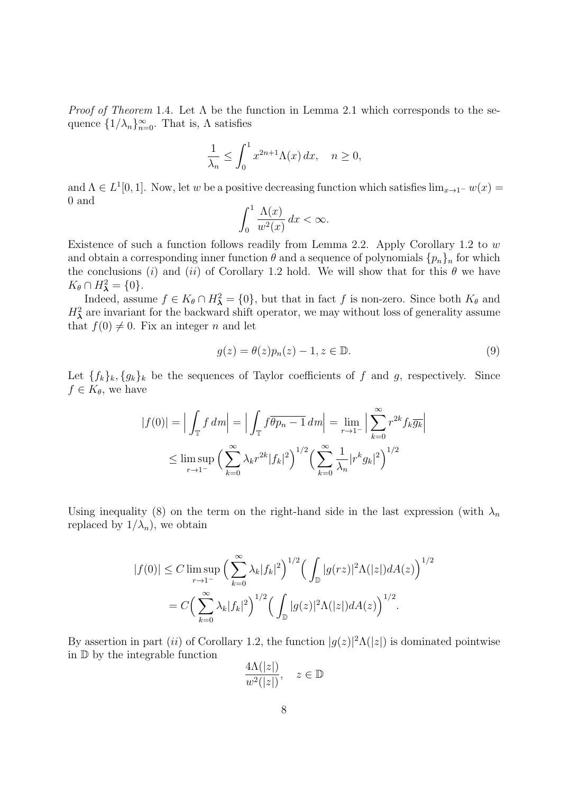*Proof of Theorem* 1.4. Let  $\Lambda$  be the function in Lemma 2.1 which corresponds to the sequence  $\{1/\lambda_n\}_{n=0}^{\infty}$ . That is,  $\Lambda$  satisfies

$$
\frac{1}{\lambda_n} \le \int_0^1 x^{2n+1} \Lambda(x) \, dx, \quad n \ge 0,
$$

and  $\Lambda \in L^1[0,1]$ . Now, let w be a positive decreasing function which satisfies  $\lim_{x\to 1^-} w(x) =$ 0 and

$$
\int_0^1 \frac{\Lambda(x)}{w^2(x)} dx < \infty.
$$

Existence of such a function follows readily from Lemma 2.2. Apply Corollary 1.2 to  $w$ and obtain a corresponding inner function  $\theta$  and a sequence of polynomials  $\{p_n\}_n$  for which the conclusions (i) and (ii) of Corollary 1.2 hold. We will show that for this  $\theta$  we have  $K_{\theta} \cap H_{\lambda}^2 = \{0\}.$ 

Indeed, assume  $f \in K_{\theta} \cap H_{\lambda}^2 = \{0\}$ , but that in fact f is non-zero. Since both  $K_{\theta}$  and  $H^2_{\lambda}$  are invariant for the backward shift operator, we may without loss of generality assume that  $f(0) \neq 0$ . Fix an integer n and let

$$
g(z) = \theta(z)p_n(z) - 1, z \in \mathbb{D}.
$$
\n(9)

Let  $\{f_k\}_k, \{g_k\}_k$  be the sequences of Taylor coefficients of f and g, respectively. Since  $f \in K_{\theta}$ , we have

$$
|f(0)| = \Big| \int_{\mathbb{T}} f \, dm \Big| = \Big| \int_{\mathbb{T}} f \overline{\theta p_n - 1} \, dm \Big| = \lim_{r \to 1^{-}} \Big| \sum_{k=0}^{\infty} r^{2k} f_k \overline{g_k} \Big|
$$
  

$$
\leq \limsup_{r \to 1^{-}} \Big( \sum_{k=0}^{\infty} \lambda_k r^{2k} |f_k|^2 \Big)^{1/2} \Big( \sum_{k=0}^{\infty} \frac{1}{\lambda_n} |r^k g_k|^2 \Big)^{1/2}
$$

Using inequality (8) on the term on the right-hand side in the last expression (with  $\lambda_n$ replaced by  $1/\lambda_n$ , we obtain

$$
|f(0)| \le C \limsup_{r \to 1^{-}} \Big( \sum_{k=0}^{\infty} \lambda_k |f_k|^2 \Big)^{1/2} \Big( \int_{\mathbb{D}} |g(rz)|^2 \Lambda(|z|) dA(z) \Big)^{1/2}
$$
  
=  $C \Big( \sum_{k=0}^{\infty} \lambda_k |f_k|^2 \Big)^{1/2} \Big( \int_{\mathbb{D}} |g(z)|^2 \Lambda(|z|) dA(z) \Big)^{1/2}.$ 

By assertion in part (ii) of Corollary 1.2, the function  $|g(z)|^2 \Lambda(|z|)$  is dominated pointwise in D by the integrable function

$$
\frac{4\Lambda(|z|)}{w^2(|z|)}, \quad z \in \mathbb{D}
$$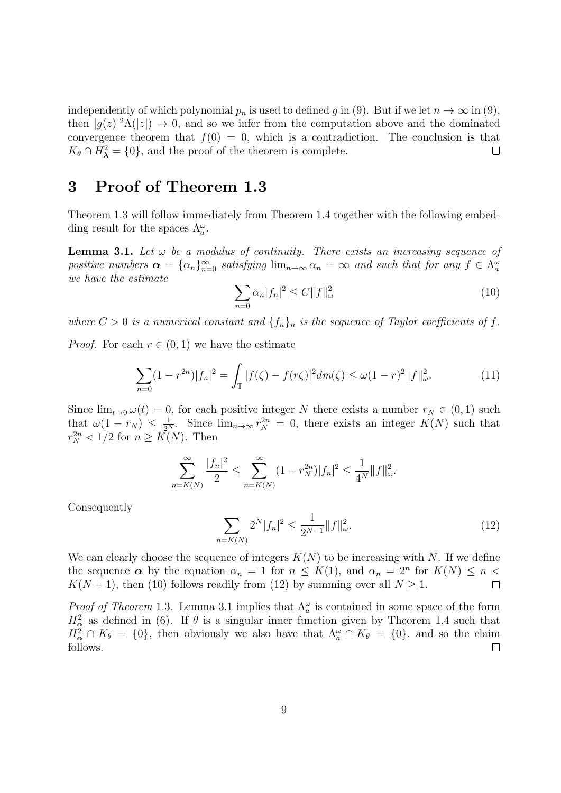independently of which polynomial  $p_n$  is used to defined g in (9). But if we let  $n \to \infty$  in (9), then  $|g(z)|^2 \Lambda(|z|) \to 0$ , and so we infer from the computation above and the dominated convergence theorem that  $f(0) = 0$ , which is a contradiction. The conclusion is that  $K_{\theta} \cap H_{\lambda}^2 = \{0\}$ , and the proof of the theorem is complete.  $\Box$ 

### 3 Proof of Theorem 1.3

Theorem 1.3 will follow immediately from Theorem 1.4 together with the following embedding result for the spaces  $\Lambda_a^{\omega}$ .

**Lemma 3.1.** Let  $\omega$  be a modulus of continuity. There exists an increasing sequence of positive numbers  $\alpha = {\alpha_n}_{n=0}^{\infty}$  satisfying  $\lim_{n\to\infty} \alpha_n = \infty$  and such that for any  $f \in \Lambda_a^{\omega}$ we have the estimate

$$
\sum_{n=0} \alpha_n |f_n|^2 \le C \|f\|_{\omega}^2 \tag{10}
$$

where  $C > 0$  is a numerical constant and  $\{f_n\}_n$  is the sequence of Taylor coefficients of f.

*Proof.* For each  $r \in (0, 1)$  we have the estimate

$$
\sum_{n=0} (1 - r^{2n}) |f_n|^2 = \int_{\mathbb{T}} |f(\zeta) - f(r\zeta)|^2 dm(\zeta) \le \omega (1 - r)^2 \|f\|_{\omega}^2.
$$
 (11)

Since  $\lim_{t\to 0} \omega(t) = 0$ , for each positive integer N there exists a number  $r_N \in (0,1)$  such that  $\omega(1 - r_N) \leq \frac{1}{2^N}$ . Since  $\lim_{n \to \infty} r_N^{2n} = 0$ , there exists an integer  $K(N)$  such that  $r_N^{2n} < 1/2$  for  $n \geq K(N)$ . Then

$$
\sum_{n=K(N)}^{\infty} \frac{|f_n|^2}{2} \le \sum_{n=K(N)}^{\infty} (1 - r_N^{2n}) |f_n|^2 \le \frac{1}{4^N} \|f\|_{\omega}^2.
$$

Consequently

$$
\sum_{n=K(N)} 2^N |f_n|^2 \le \frac{1}{2^{N-1}} \|f\|_{\omega}^2. \tag{12}
$$

We can clearly choose the sequence of integers  $K(N)$  to be increasing with N. If we define the sequence  $\alpha$  by the equation  $\alpha_n = 1$  for  $n \leq K(1)$ , and  $\alpha_n = 2^n$  for  $K(N) \leq n$  $K(N + 1)$ , then (10) follows readily from (12) by summing over all  $N \geq 1$ .  $\Box$ 

*Proof of Theorem* 1.3. Lemma 3.1 implies that  $\Lambda_a^{\omega}$  is contained in some space of the form  $H_{\alpha}^2$  as defined in (6). If  $\theta$  is a singular inner function given by Theorem 1.4 such that  $H^2_{\alpha} \cap K_{\theta} = \{0\}$ , then obviously we also have that  $\Lambda_{a}^{\omega} \cap K_{\theta} = \{0\}$ , and so the claim follows.  $\Box$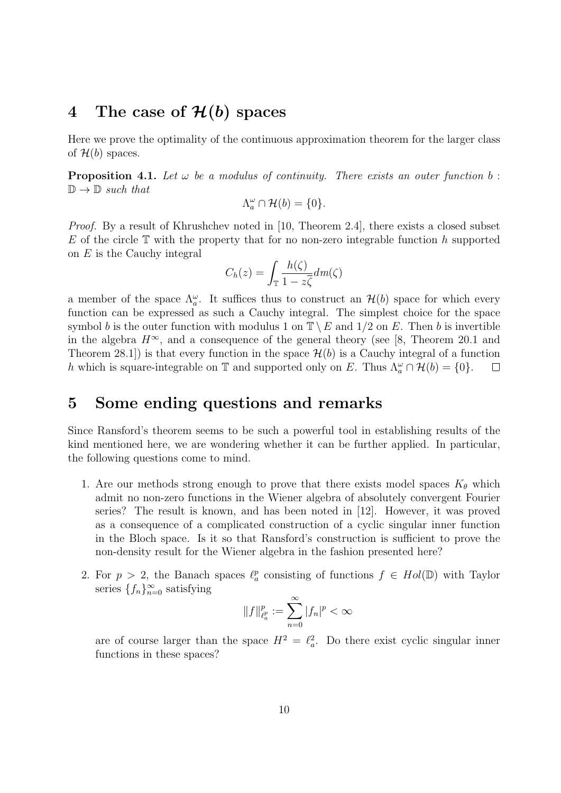#### 4 The case of  $\mathcal{H}(b)$  spaces

Here we prove the optimality of the continuous approximation theorem for the larger class of  $\mathcal{H}(b)$  spaces.

**Proposition 4.1.** Let  $\omega$  be a modulus of continuity. There exists an outer function b:  $\mathbb{D} \to \mathbb{D}$  such that

$$
\Lambda_a^{\omega} \cap \mathcal{H}(b) = \{0\}.
$$

*Proof.* By a result of Khrushchev noted in [10, Theorem 2.4], there exists a closed subset E of the circle  $\mathbb T$  with the property that for no non-zero integrable function h supported on E is the Cauchy integral

$$
C_h(z) = \int_{\mathbb{T}} \frac{h(\zeta)}{1 - z\overline{\zeta}} dm(\zeta)
$$

a member of the space  $\Lambda_a^{\omega}$ . It suffices thus to construct an  $\mathcal{H}(b)$  space for which every function can be expressed as such a Cauchy integral. The simplest choice for the space symbol b is the outer function with modulus 1 on  $\mathbb{T}\setminus E$  and  $1/2$  on E. Then b is invertible in the algebra  $H^{\infty}$ , and a consequence of the general theory (see [8, Theorem 20.1 and Theorem 28.1]) is that every function in the space  $\mathcal{H}(b)$  is a Cauchy integral of a function h which is square-integrable on T and supported only on E. Thus  $\Lambda_a^{\omega} \cap \mathcal{H}(b) = \{0\}.$  $\Box$ 

### 5 Some ending questions and remarks

Since Ransford's theorem seems to be such a powerful tool in establishing results of the kind mentioned here, we are wondering whether it can be further applied. In particular, the following questions come to mind.

- 1. Are our methods strong enough to prove that there exists model spaces  $K_{\theta}$  which admit no non-zero functions in the Wiener algebra of absolutely convergent Fourier series? The result is known, and has been noted in [12]. However, it was proved as a consequence of a complicated construction of a cyclic singular inner function in the Bloch space. Is it so that Ransford's construction is sufficient to prove the non-density result for the Wiener algebra in the fashion presented here?
- 2. For  $p > 2$ , the Banach spaces  $\ell_a^p$  consisting of functions  $f \in Hol(\mathbb{D})$  with Taylor series  $\{f_n\}_{n=0}^{\infty}$  satisfying

$$
||f||_{\ell^p_a}^p := \sum_{n=0}^{\infty} |f_n|^p < \infty
$$

are of course larger than the space  $H^2 = \ell_a^2$ . Do there exist cyclic singular inner functions in these spaces?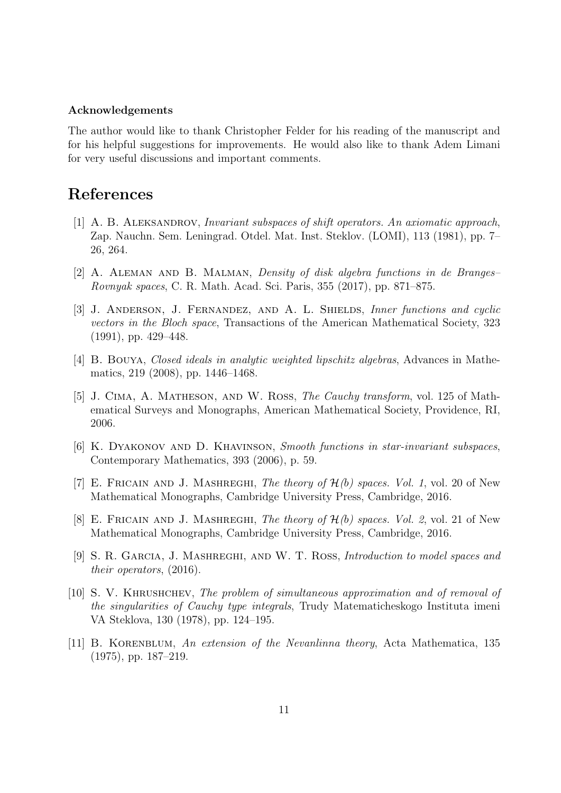#### Acknowledgements

The author would like to thank Christopher Felder for his reading of the manuscript and for his helpful suggestions for improvements. He would also like to thank Adem Limani for very useful discussions and important comments.

## References

- [1] A. B. ALEKSANDROV, *Invariant subspaces of shift operators. An axiomatic approach*, Zap. Nauchn. Sem. Leningrad. Otdel. Mat. Inst. Steklov. (LOMI), 113 (1981), pp. 7– 26, 264.
- [2] A. Aleman and B. Malman, Density of disk algebra functions in de Branges– Rovnyak spaces, C. R. Math. Acad. Sci. Paris, 355 (2017), pp. 871–875.
- [3] J. ANDERSON, J. FERNANDEZ, AND A. L. SHIELDS, Inner functions and cyclic vectors in the Bloch space, Transactions of the American Mathematical Society, 323 (1991), pp. 429–448.
- [4] B. Bouya, Closed ideals in analytic weighted lipschitz algebras, Advances in Mathematics, 219 (2008), pp. 1446–1468.
- [5] J. Cima, A. Matheson, and W. Ross, The Cauchy transform, vol. 125 of Mathematical Surveys and Monographs, American Mathematical Society, Providence, RI, 2006.
- [6] K. Dyakonov and D. Khavinson, Smooth functions in star-invariant subspaces, Contemporary Mathematics, 393 (2006), p. 59.
- [7] E. FRICAIN AND J. MASHREGHI, The theory of  $\mathcal{H}(b)$  spaces. Vol. 1, vol. 20 of New Mathematical Monographs, Cambridge University Press, Cambridge, 2016.
- [8] E. FRICAIN AND J. MASHREGHI, The theory of  $\mathcal{H}(b)$  spaces. Vol. 2, vol. 21 of New Mathematical Monographs, Cambridge University Press, Cambridge, 2016.
- [9] S. R. Garcia, J. Mashreghi, and W. T. Ross, Introduction to model spaces and their operators, (2016).
- [10] S. V. Khrushchev, The problem of simultaneous approximation and of removal of the singularities of Cauchy type integrals, Trudy Matematicheskogo Instituta imeni VA Steklova, 130 (1978), pp. 124–195.
- [11] B. KORENBLUM, An extension of the Nevanlinna theory, Acta Mathematica, 135 (1975), pp. 187–219.